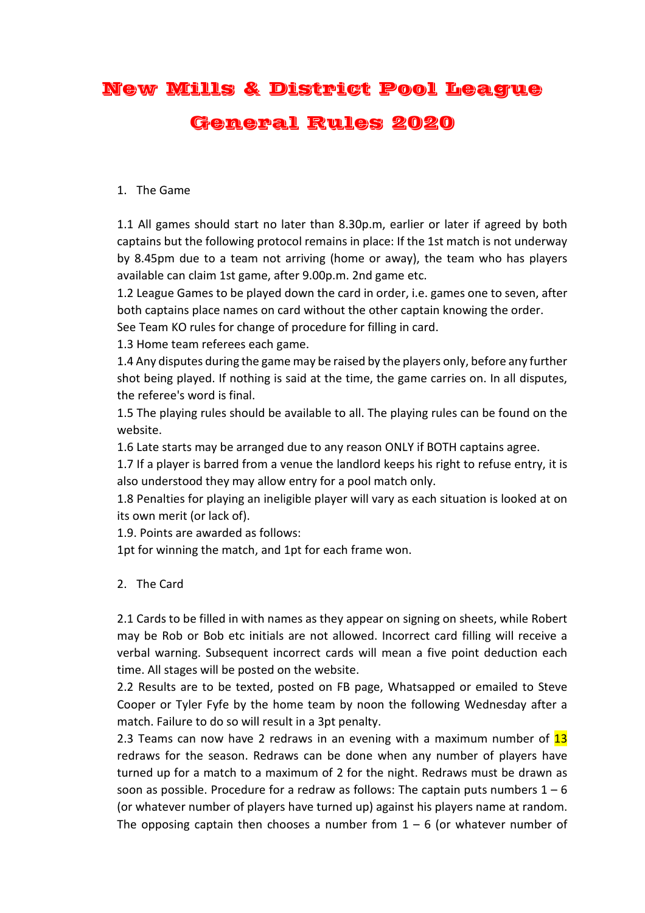## New Mills & District Pool League General Rules 2020

## 1. The Game

1.1 All games should start no later than 8.30p.m, earlier or later if agreed by both captains but the following protocol remains in place: If the 1st match is not underway by 8.45pm due to a team not arriving (home or away), the team who has players available can claim 1st game, after 9.00p.m. 2nd game etc.

1.2 League Games to be played down the card in order, i.e. games one to seven, after both captains place names on card without the other captain knowing the order.

See Team KO rules for change of procedure for filling in card.

1.3 Home team referees each game.

1.4 Any disputes during the game may be raised by the players only, before any further shot being played. If nothing is said at the time, the game carries on. In all disputes, the referee's word is final.

1.5 The playing rules should be available to all. The playing rules can be found on the website.

1.6 Late starts may be arranged due to any reason ONLY if BOTH captains agree.

1.7 If a player is barred from a venue the landlord keeps his right to refuse entry, it is also understood they may allow entry for a pool match only.

1.8 Penalties for playing an ineligible player will vary as each situation is looked at on its own merit (or lack of).

1.9. Points are awarded as follows:

1pt for winning the match, and 1pt for each frame won.

## 2. The Card

2.1 Cards to be filled in with names as they appear on signing on sheets, while Robert may be Rob or Bob etc initials are not allowed. Incorrect card filling will receive a verbal warning. Subsequent incorrect cards will mean a five point deduction each time. All stages will be posted on the website.

2.2 Results are to be texted, posted on FB page, Whatsapped or emailed to Steve Cooper or Tyler Fyfe by the home team by noon the following Wednesday after a match. Failure to do so will result in a 3pt penalty.

2.3 Teams can now have 2 redraws in an evening with a maximum number of 13 redraws for the season. Redraws can be done when any number of players have turned up for a match to a maximum of 2 for the night. Redraws must be drawn as soon as possible. Procedure for a redraw as follows: The captain puts numbers  $1 - 6$ (or whatever number of players have turned up) against his players name at random. The opposing captain then chooses a number from  $1 - 6$  (or whatever number of